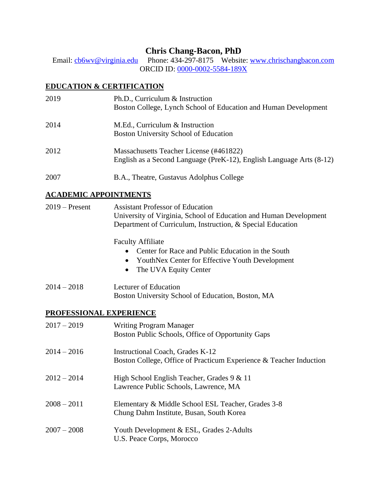# **Chris Chang-Bacon, PhD**

Email: [cb6wv@virginia.edu](mailto:cb6wv@virginia.edu) Phone: 434-297-8175 Website: [www.chrischangbacon.com](http://www.chrischangbacon.com/) ORCID ID: [0000-0002-5584-189X](https://orcid.org/0000-0002-5584-189X)

# **EDUCATION & CERTIFICATION**

| 2019 | Ph.D., Curriculum & Instruction<br>Boston College, Lynch School of Education and Human Development              |
|------|-----------------------------------------------------------------------------------------------------------------|
| 2014 | M.Ed., Curriculum & Instruction<br>Boston University School of Education                                        |
| 2012 | Massachusetts Teacher License (#461822)<br>English as a Second Language (PreK-12), English Language Arts (8-12) |
| 2007 | B.A., Theatre, Gustavus Adolphus College                                                                        |

# **ACADEMIC APPOINTMENTS**

| $2019$ – Present | <b>Assistant Professor of Education</b><br>University of Virginia, School of Education and Human Development<br>Department of Curriculum, Instruction, & Special Education |
|------------------|----------------------------------------------------------------------------------------------------------------------------------------------------------------------------|
|                  | <b>Faculty Affiliate</b><br>Center for Race and Public Education in the South<br>YouthNex Center for Effective Youth Development<br>The UVA Equity Center<br>$\bullet$     |
| $2014 - 2018$    | Lecturer of Education<br>Boston University School of Education, Boston, MA                                                                                                 |
|                  | PROFESSIONAL EXPERIENCE                                                                                                                                                    |
| $2017 - 2019$    | <b>Writing Program Manager</b><br>Boston Public Schools, Office of Opportunity Gaps                                                                                        |
| $2014 - 2016$    | Instructional Coach, Grades K-12<br>Boston College, Office of Practicum Experience & Teacher Induction                                                                     |
| $2012 - 2014$    | High School English Teacher, Grades 9 & 11<br>Lawrence Public Schools, Lawrence, MA                                                                                        |
| $2008 - 2011$    | Elementary & Middle School ESL Teacher, Grades 3-8<br>Chung Dahm Institute, Busan, South Korea                                                                             |
| $2007 - 2008$    | Youth Development & ESL, Grades 2-Adults<br>U.S. Peace Corps, Morocco                                                                                                      |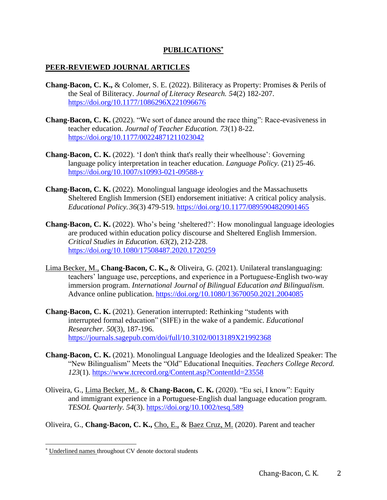# **PUBLICATIONS\***

## **PEER-REVIEWED JOURNAL ARTICLES**

- **Chang-Bacon, C. K.,** & Colomer, S. E. (2022). Biliteracy as Property: Promises & Perils of the Seal of Biliteracy. *Journal of Literacy Research. 54*(2) 182-207. <https://doi.org/10.1177/1086296X221096676>
- **Chang-Bacon, C. K.** (2022). "We sort of dance around the race thing": Race-evasiveness in teacher education. *Journal of Teacher Education. 73*(1) 8-22. <https://doi.org/10.1177/00224871211023042>
- **Chang-Bacon, C. K.** (2022). 'I don't think that's really their wheelhouse': Governing language policy interpretation in teacher education. *Language Policy.* (21) 25-46. <https://doi.org/10.1007/s10993-021-09588-y>
- **Chang-Bacon, C. K.** (2022). Monolingual language ideologies and the Massachusetts Sheltered English Immersion (SEI) endorsement initiative: A critical policy analysis. *Educational Policy. 36*(3) 479-519. <https://doi.org/10.1177/0895904820901465>
- **Chang-Bacon, C. K.** (2022). Who's being 'sheltered?': How monolingual language ideologies are produced within education policy discourse and Sheltered English Immersion. *Critical Studies in Education. 63*(2), 212-228. <https://doi.org/10.1080/17508487.2020.1720259>
- Lima Becker, M., **Chang-Bacon, C. K.,** & Oliveira, G. (2021). Unilateral translanguaging: teachers' language use, perceptions, and experience in a Portuguese-English two-way immersion program. *International Journal of Bilingual Education and Bilingualism.*  Advance online publication.<https://doi.org/10.1080/13670050.2021.2004085>
- **Chang-Bacon, C. K.** (2021). Generation interrupted: Rethinking "students with interrupted formal education" (SIFE) in the wake of a pandemic. *Educational Researcher. 50*(3), 187-196. <https://journals.sagepub.com/doi/full/10.3102/0013189X21992368>
- **Chang-Bacon, C. K.** (2021). Monolingual Language Ideologies and the Idealized Speaker: The "New Bilingualism" Meets the "Old" Educational Inequities. *Teachers College Record. 123*(1).<https://www.tcrecord.org/Content.asp?ContentId=23558>
- Oliveira, G., Lima Becker, M., & **Chang-Bacon, C. K.** (2020). "Eu sei, I know": Equity and immigrant experience in a Portuguese-English dual language education program. *TESOL Quarterly. 54*(3). <https://doi.org/10.1002/tesq.589>

Oliveira, G., **Chang-Bacon, C. K.,** Cho, E., & Baez Cruz, M. (2020). Parent and teacher

<sup>\*</sup> Underlined names throughout CV denote doctoral students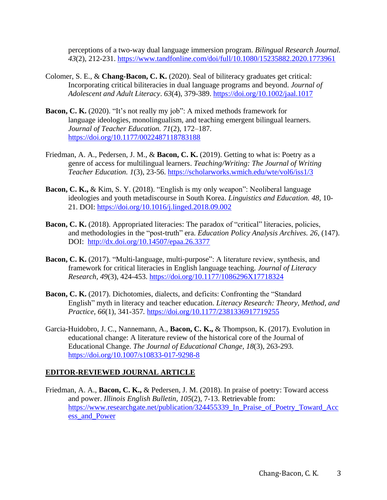perceptions of a two-way dual language immersion program. *Bilingual Research Journal. 43*(2), 212-231. <https://www.tandfonline.com/doi/full/10.1080/15235882.2020.1773961>

- Colomer, S. E., & **Chang-Bacon, C. K.** (2020). Seal of biliteracy graduates get critical: Incorporating critical biliteracies in dual language programs and beyond. *Journal of Adolescent and Adult Literacy*. *63*(4), 379-389.<https://doi.org/10.1002/jaal.1017>
- **Bacon, C. K.** (2020). "It's not really my job": A mixed methods framework for language ideologies, monolingualism, and teaching emergent bilingual learners. *Journal of Teacher Education. 71*(2), 172–187*.*  <https://doi.org/10.1177/0022487118783188>
- Friedman, A. A., Pedersen, J. M., & **Bacon, C. K.** (2019). Getting to what is: Poetry as a genre of access for multilingual learners. *Teaching/Writing: The Journal of Writing Teacher Education. 1*(3), 23-56.<https://scholarworks.wmich.edu/wte/vol6/iss1/3>
- **Bacon, C. K.,** & Kim, S. Y. (2018). "English is my only weapon": Neoliberal language ideologies and youth metadiscourse in South Korea. *Linguistics and Education. 48,* 10- 21. DOI:<https://doi.org/10.1016/j.linged.2018.09.002>
- **Bacon, C. K.** (2018). Appropriated literacies: The paradox of "critical" literacies, policies, and methodologies in the "post-truth" era. *Education Policy Analysis Archives. 26*, (147). DOI: <http://dx.doi.org/10.14507/epaa.26.3377>
- **Bacon, C. K.** (2017). "Multi-language, multi-purpose": A literature review, synthesis, and framework for critical literacies in English language teaching. *Journal of Literacy Research, 49*(3), 424-453. <https://doi.org/10.1177/1086296X17718324>
- **Bacon, C. K.** (2017). Dichotomies, dialects, and deficits: Confronting the "Standard English" myth in literacy and teacher education. *Literacy Research: Theory, Method, and Practice, 66*(1), 341-357*.* <https://doi.org/10.1177/2381336917719255>
- Garcia-Huidobro, J. C., Nannemann, A., **Bacon, C. K.,** & Thompson, K. (2017). Evolution in educational change: A literature review of the historical core of the Journal of Educational Change. *The Journal of Educational Change, 18*(3), 263-293. <https://doi.org/10.1007/s10833-017-9298-8>

## **EDITOR-REVIEWED JOURNAL ARTICLE**

Friedman, A. A., **Bacon, C. K.,** & Pedersen, J. M. (2018). In praise of poetry: Toward access and power. *Illinois English Bulletin, 105*(2), 7-13. Retrievable from: [https://www.researchgate.net/publication/324455339\\_In\\_Praise\\_of\\_Poetry\\_Toward\\_Acc](https://www.researchgate.net/publication/324455339_In_Praise_of_Poetry_Toward_Access_and_Power) [ess\\_and\\_Power](https://www.researchgate.net/publication/324455339_In_Praise_of_Poetry_Toward_Access_and_Power)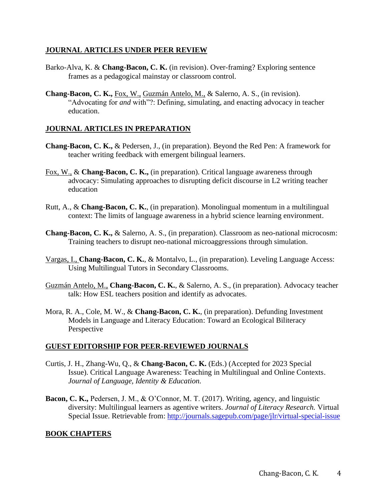#### **JOURNAL ARTICLES UNDER PEER REVIEW**

- Barko-Alva, K. & **Chang-Bacon, C. K.** (in revision). Over-framing? Exploring sentence frames as a pedagogical mainstay or classroom control.
- **Chang-Bacon, C. K.,** Fox, W., Guzmán Antelo, M., & Salerno, A. S., (in revision). "Advocating for *and* with"?: Defining, simulating, and enacting advocacy in teacher education.

#### **JOURNAL ARTICLES IN PREPARATION**

- **Chang-Bacon, C. K.,** & Pedersen, J., (in preparation). Beyond the Red Pen: A framework for teacher writing feedback with emergent bilingual learners.
- Fox, W., & **Chang-Bacon, C. K.,** (in preparation). Critical language awareness through advocacy: Simulating approaches to disrupting deficit discourse in L2 writing teacher education
- Rutt, A., & **Chang-Bacon, C. K.**, (in preparation). Monolingual momentum in a multilingual context: The limits of language awareness in a hybrid science learning environment.
- **Chang-Bacon, C. K.,** & Salerno, A. S., (in preparation). Classroom as neo-national microcosm: Training teachers to disrupt neo-national microaggressions through simulation.
- Vargas, I., **Chang-Bacon, C. K.**, & Montalvo, L., (in preparation). Leveling Language Access: Using Multilingual Tutors in Secondary Classrooms.
- Guzmán Antelo, M., **Chang-Bacon, C. K.**, & Salerno, A. S., (in preparation). Advocacy teacher talk: How ESL teachers position and identify as advocates.
- Mora, R. A., Cole, M. W., & **Chang-Bacon, C. K.**, (in preparation). Defunding Investment Models in Language and Literacy Education: Toward an Ecological Biliteracy Perspective

## **GUEST EDITORSHIP FOR PEER-REVIEWED JOURNALS**

- Curtis, J. H., Zhang-Wu, Q., & **Chang-Bacon, C. K.** (Eds.) (Accepted for 2023 Special Issue). Critical Language Awareness: Teaching in Multilingual and Online Contexts. *Journal of Language, Identity & Education.*
- **Bacon, C. K.,** Pedersen, J. M., & O'Connor, M. T. (2017). Writing, agency, and linguistic diversity: Multilingual learners as agentive writers. *Journal of Literacy Research.* Virtual Special Issue. Retrievable from:<http://journals.sagepub.com/page/jlr/virtual-special-issue>

## **BOOK CHAPTERS**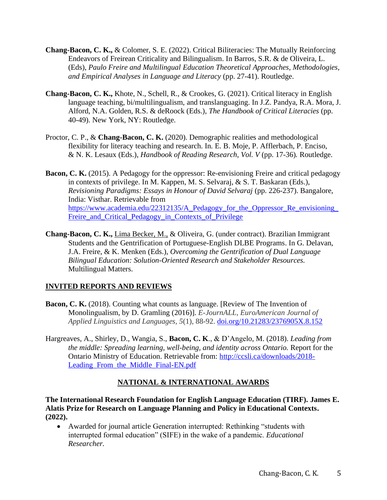- **Chang-Bacon, C. K.,** & Colomer, S. E. (2022). Critical Biliteracies: The Mutually Reinforcing Endeavors of Freirean Criticality and Bilingualism. In Barros, S.R. & de Oliveira, L. (Eds), *Paulo Freire and Multilingual Education Theoretical Approaches, Methodologies, and Empirical Analyses in Language and Literacy* (pp. 27-41). Routledge.
- **Chang-Bacon, C. K.,** Khote, N., Schell, R., & Crookes, G. (2021). Critical literacy in English language teaching, bi/multilingualism, and translanguaging. In J.Z. Pandya, R.A. Mora, J. Alford, N.A. Golden, R.S. & deRoock (Eds.), *The Handbook of Critical Literacies* (pp. 40-49). New York, NY: Routledge.
- Proctor, C. P., & **Chang-Bacon, C. K.** (2020). Demographic realities and methodological flexibility for literacy teaching and research. In*.* E. B. Moje, P. Afflerbach, P. Enciso, & N. K. Lesaux (Eds.), *Handbook of Reading Research, Vol. V* (pp. 17-36)*.* Routledge.
- **Bacon, C. K.** (2015). A Pedagogy for the oppressor: Re-envisioning Freire and critical pedagogy in contexts of privilege. In M. Kappen, M. S. Selvaraj, & S. T. Baskaran (Eds.), *Revisioning Paradigms: Essays in Honour of David Selvaraj* (pp. 226-237). Bangalore, India: Visthar. Retrievable from https://www.academia.edu/22312135/A\_Pedagogy\_for\_the\_Oppressor\_Re\_envisioning Freire and Critical Pedagogy in Contexts of Privilege
- **Chang-Bacon, C. K.,** Lima Becker, M., & Oliveira, G. (under contract). Brazilian Immigrant Students and the Gentrification of Portuguese-English DLBE Programs. In G. Delavan, J.A. Freire, & K. Menken (Eds.), *Overcoming the Gentrification of Dual Language Bilingual Education: Solution-Oriented Research and Stakeholder Resources.* Multilingual Matters.

# **INVITED REPORTS AND REVIEWS**

- **Bacon, C. K.** (2018). Counting what counts as language. [Review of The Invention of Monolingualism, by D. Gramling (2016)]. *E-JournALL, EuroAmerican Journal of Applied Linguistics and Languages, 5*(1), 88-92. [doi.org/10.21283/2376905X.8.152](http://doi.org/10.21283/2376905X.8.152)
- Hargreaves, A., Shirley, D., Wangia, S., **Bacon, C. K**., & D'Angelo, M. (2018). *Leading from the middle: Spreading learning, well-being, and identity across Ontario.* Report for the Ontario Ministry of Education. Retrievable from: [http://ccsli.ca/downloads/2018-](http://ccsli.ca/downloads/2018-Leading_From_the_Middle_Final-EN.pdf) Leading From the Middle Final-EN.pdf

## **NATIONAL & INTERNATIONAL AWARDS**

**The International Research Foundation for English Language Education (TIRF). James E. Alatis Prize for Research on Language Planning and Policy in Educational Contexts. (2022).**

• Awarded for journal article Generation interrupted: Rethinking "students with interrupted formal education" (SIFE) in the wake of a pandemic. *Educational Researcher.*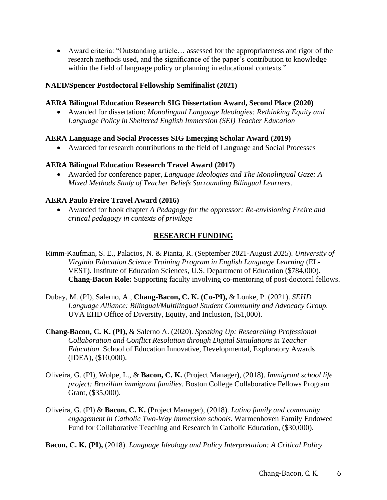• Award criteria: "Outstanding article… assessed for the appropriateness and rigor of the research methods used, and the significance of the paper's contribution to knowledge within the field of language policy or planning in educational contexts."

## **NAED/Spencer Postdoctoral Fellowship Semifinalist (2021)**

#### **AERA Bilingual Education Research SIG Dissertation Award, Second Place (2020)**

• Awarded for dissertation: *Monolingual Language Ideologies: Rethinking Equity and Language Policy in Sheltered English Immersion (SEI) Teacher Education*

## **AERA Language and Social Processes SIG Emerging Scholar Award (2019)**

• Awarded for research contributions to the field of Language and Social Processes

## **AERA Bilingual Education Research Travel Award (2017)**

• Awarded for conference paper, *Language Ideologies and The Monolingual Gaze: A Mixed Methods Study of Teacher Beliefs Surrounding Bilingual Learners.*

## **AERA Paulo Freire Travel Award (2016)**

• Awarded for book chapter *A Pedagogy for the oppressor: Re-envisioning Freire and critical pedagogy in contexts of privilege* 

# **RESEARCH FUNDING**

- Rimm-Kaufman, S. E., Palacios, N. & Pianta, R. (September 2021-August 2025). *University of Virginia Education Science Training Program in English Language Learning* (EL-VEST). Institute of Education Sciences, U.S. Department of Education (\$784,000). **Chang-Bacon Role:** Supporting faculty involving co-mentoring of post-doctoral fellows.
- Dubay, M. (PI), Salerno, A., **Chang-Bacon, C. K. (Co-PI),** & Lonke, P. (2021). *SEHD Language Alliance: Bilingual/Multilingual Student Community and Advocacy Group.* UVA EHD Office of Diversity, Equity, and Inclusion, (\$1,000).
- **Chang-Bacon, C. K. (PI),** & Salerno A. (2020). *Speaking Up: Researching Professional Collaboration and Conflict Resolution through Digital Simulations in Teacher Education.* School of Education Innovative, Developmental, Exploratory Awards (IDEA), (\$10,000).
- Oliveira, G. (PI), Wolpe, L., & **Bacon, C. K.** (Project Manager), (2018). *Immigrant school life project: Brazilian immigrant families.* Boston College Collaborative Fellows Program Grant, (\$35,000).
- Oliveira, G. (PI) & **Bacon, C. K.** (Project Manager), (2018). *Latino family and community engagement in Catholic Two-Way Immersion schools***.** Warmenhoven Family Endowed Fund for Collaborative Teaching and Research in Catholic Education, (\$30,000).

**Bacon, C. K. (PI),** (2018). *Language Ideology and Policy Interpretation: A Critical Policy*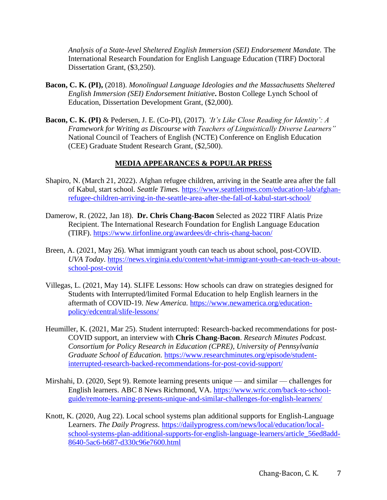*Analysis of a State-level Sheltered English Immersion (SEI) Endorsement Mandate.* The International Research Foundation for English Language Education (TIRF) Doctoral Dissertation Grant, (\$3,250).

- **Bacon, C. K. (PI),** (2018). *Monolingual Language Ideologies and the Massachusetts Sheltered English Immersion (SEI) Endorsement Initiative***.** Boston College Lynch School of Education, Dissertation Development Grant, (\$2,000).
- **Bacon, C. K. (PI)** & Pedersen, J. E. (Co-PI), (2017). *'It's Like Close Reading for Identity': A Framework for Writing as Discourse with Teachers of Linguistically Diverse Learners"* National Council of Teachers of English (NCTE) Conference on English Education (CEE) Graduate Student Research Grant, (\$2,500).

# **MEDIA APPEARANCES & POPULAR PRESS**

- Shapiro, N. (March 21, 2022). Afghan refugee children, arriving in the Seattle area after the fall of Kabul, start school. *Seattle Times.* [https://www.seattletimes.com/education-lab/afghan](https://www.seattletimes.com/education-lab/afghan-refugee-children-arriving-in-the-seattle-area-after-the-fall-of-kabul-start-school/)[refugee-children-arriving-in-the-seattle-area-after-the-fall-of-kabul-start-school/](https://www.seattletimes.com/education-lab/afghan-refugee-children-arriving-in-the-seattle-area-after-the-fall-of-kabul-start-school/)
- Damerow, R. (2022, Jan 18). **Dr. Chris Chang-Bacon** Selected as 2022 TIRF Alatis Prize Recipient. The International Research Foundation for English Language Education (TIRF).<https://www.tirfonline.org/awardees/dr-chris-chang-bacon/>
- Breen, A. (2021, May 26). What immigrant youth can teach us about school, post-COVID. *UVA Today*. [https://news.virginia.edu/content/what-immigrant-youth-can-teach-us-about](https://news.virginia.edu/content/what-immigrant-youth-can-teach-us-about-school-post-covid)[school-post-covid](https://news.virginia.edu/content/what-immigrant-youth-can-teach-us-about-school-post-covid)
- Villegas, L. (2021, May 14). SLIFE Lessons: How schools can draw on strategies designed for Students with Interrupted/limited Formal Education to help English learners in the aftermath of COVID-19. *New America.* [https://www.newamerica.org/education](https://www.newamerica.org/education-policy/edcentral/slife-lessons/)[policy/edcentral/slife-lessons/](https://www.newamerica.org/education-policy/edcentral/slife-lessons/)
- Heumiller, K. (2021, Mar 25). Student interrupted: Research-backed recommendations for post-COVID support, an interview with **Chris Chang-Bacon**. *Research Minutes Podcast. Consortium for Policy Research in Education (CPRE), University of Pennsylvania Graduate School of Education.* [https://www.researchminutes.org/episode/student](https://www.researchminutes.org/episode/student-interrupted-research-backed-recommendations-for-post-covid-support/?fbclid=IwAR0yO4O2ZgUc3vpPLN9rxu1jShG9jIxo2lXTQZtpzPeEnoxpaHESKOAti74)[interrupted-research-backed-recommendations-for-post-covid-support/](https://www.researchminutes.org/episode/student-interrupted-research-backed-recommendations-for-post-covid-support/?fbclid=IwAR0yO4O2ZgUc3vpPLN9rxu1jShG9jIxo2lXTQZtpzPeEnoxpaHESKOAti74)
- Mirshahi, D. (2020, Sept 9). Remote learning presents unique and similar challenges for English learners. ABC 8 News Richmond, VA. [https://www.wric.com/back-to-school](https://www.wric.com/back-to-school-guide/remote-learning-presents-unique-and-similar-challenges-for-english-learners/)[guide/remote-learning-presents-unique-and-similar-challenges-for-english-learners/](https://www.wric.com/back-to-school-guide/remote-learning-presents-unique-and-similar-challenges-for-english-learners/)
- Knott, K. (2020, Aug 22). Local school systems plan additional supports for English-Language Learners. *The Daily Progress.* [https://dailyprogress.com/news/local/education/local](https://dailyprogress.com/news/local/education/local-school-systems-plan-additional-supports-for-english-language-learners/article_56ed8add-8640-5ac6-b687-d330c96e7600.html)[school-systems-plan-additional-supports-for-english-language-learners/article\\_56ed8add-](https://dailyprogress.com/news/local/education/local-school-systems-plan-additional-supports-for-english-language-learners/article_56ed8add-8640-5ac6-b687-d330c96e7600.html)[8640-5ac6-b687-d330c96e7600.html](https://dailyprogress.com/news/local/education/local-school-systems-plan-additional-supports-for-english-language-learners/article_56ed8add-8640-5ac6-b687-d330c96e7600.html)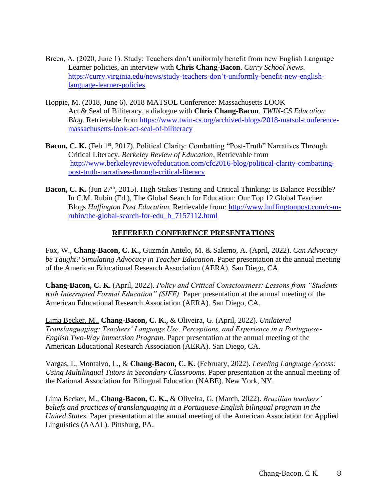- Breen, A. (2020, June 1). Study: Teachers don't uniformly benefit from new English Language Learner policies, an interview with **Chris Chang-Bacon**. *Curry School News*. [https://curry.virginia.edu/news/study-teachers-don't-uniformly-benefit-new-english](https://curry.virginia.edu/news/study-teachers-don’t-uniformly-benefit-new-english-language-learner-policies)[language-learner-policies](https://curry.virginia.edu/news/study-teachers-don’t-uniformly-benefit-new-english-language-learner-policies)
- Hoppie, M. (2018, June 6). 2018 MATSOL Conference: Massachusetts LOOK Act & Seal of Biliteracy, a dialogue with **Chris Chang-Bacon**. *TWIN-CS Education Blog.* Retrievable from [https://www.twin-cs.org/archived-blogs/2018-matsol-conference](https://www.twin-cs.org/archived-blogs/2018-matsol-conference-massachusetts-look-act-seal-of-biliteracy)[massachusetts-look-act-seal-of-biliteracy](https://www.twin-cs.org/archived-blogs/2018-matsol-conference-massachusetts-look-act-seal-of-biliteracy)
- Bacon, C. K. (Feb 1<sup>st</sup>, 2017). Political Clarity: Combatting "Post-Truth" Narratives Through Critical Literacy. *Berkeley Review of Education,* Retrievable from [http://www.berkeleyreviewofeducation.com/cfc2016-blog/political-clarity-combatting](http://www.berkeleyreviewofeducation.com/cfc2016-blog/political-clarity-combatting-post-truth-narratives-through-critical-literacy)[post-truth-narratives-through-critical-literacy](http://www.berkeleyreviewofeducation.com/cfc2016-blog/political-clarity-combatting-post-truth-narratives-through-critical-literacy)
- Bacon, C. K. (Jun 27<sup>th</sup>, 2015). High Stakes Testing and Critical Thinking: Is Balance Possible? In C.M. Rubin (Ed.), The Global Search for Education: Our Top 12 Global Teacher Blogs *Huffington Post Education.* Retrievable from: [http://www.huffingtonpost.com/c-m](http://www.huffingtonpost.com/c-m-rubin/the-global-search-for-edu_b_7157112.html)[rubin/the-global-search-for-edu\\_b\\_7157112.html](http://www.huffingtonpost.com/c-m-rubin/the-global-search-for-edu_b_7157112.html)

# **REFEREED CONFERENCE PRESENTATIONS**

Fox, W., **Chang-Bacon, C. K.,** Guzmán Antelo, M. & Salerno, A. (April, 2022). *Can Advocacy be Taught? Simulating Advocacy in Teacher Education.* Paper presentation at the annual meeting of the American Educational Research Association (AERA). San Diego, CA.

**Chang-Bacon, C. K.** (April, 2022). *Policy and Critical Consciousness: Lessons from "Students with Interrupted Formal Education" (SIFE).* Paper presentation at the annual meeting of the American Educational Research Association (AERA). San Diego, CA.

Lima Becker, M., **Chang-Bacon, C. K.,** & Oliveira, G. (April, 2022). *Unilateral Translanguaging: Teachers' Language Use, Perceptions, and Experience in a Portuguese-English Two-Way Immersion Program.* Paper presentation at the annual meeting of the American Educational Research Association (AERA). San Diego, CA.

Vargas, I., Montalvo, L., & **Chang-Bacon, C. K.** (February, 2022). *Leveling Language Access: Using Multilingual Tutors in Secondary Classrooms.* Paper presentation at the annual meeting of the National Association for Bilingual Education (NABE). New York, NY.

Lima Becker, M., **Chang-Bacon, C. K.,** & Oliveira, G. (March, 2022). *Brazilian teachers' beliefs and practices of translanguaging in a Portuguese-English bilingual program in the United States.* Paper presentation at the annual meeting of the American Association for Applied Linguistics (AAAL). Pittsburg, PA.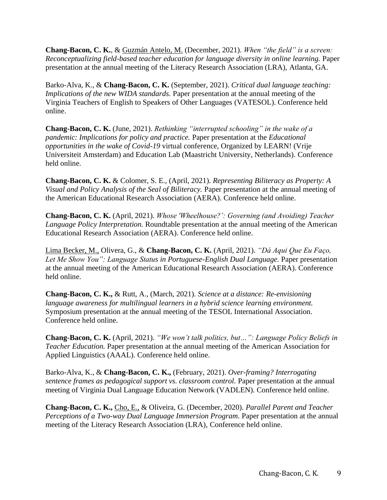**Chang-Bacon, C. K.**, & Guzmán Antelo, M. (December, 2021). *When "the field" is a screen: Reconceptualizing field-based teacher education for language diversity in online learning.* Paper presentation at the annual meeting of the Literacy Research Association (LRA), Atlanta, GA.

Barko-Alva, K., & **Chang-Bacon, C. K.** (September, 2021). *Critical dual language teaching: Implications of the new WIDA standards.* Paper presentation at the annual meeting of the Virginia Teachers of English to Speakers of Other Languages (VATESOL). Conference held online.

**Chang-Bacon, C. K.** (June, 2021). *Rethinking "interrupted schooling" in the wake of a pandemic: Implications for policy and practice.* Paper presentation at the *Educational opportunities in the wake of Covid-19* virtual conference, Organized by LEARN! (Vrije Universiteit Amsterdam) and Education Lab (Maastricht University, Netherlands). Conference held online.

**Chang-Bacon, C. K.** & Colomer, S. E., (April, 2021). *Representing Biliteracy as Property: A Visual and Policy Analysis of the Seal of Biliteracy.* Paper presentation at the annual meeting of the American Educational Research Association (AERA). Conference held online.

**Chang-Bacon, C. K.** (April, 2021). *Whose 'Wheelhouse?': Governing (and Avoiding) Teacher Language Policy Interpretation.* Roundtable presentation at the annual meeting of the American Educational Research Association (AERA). Conference held online.

Lima Becker, M., Olivera, G., & **Chang-Bacon, C. K.** (April, 2021). *"Dá Aqui Que Eu Faço, Let Me Show You": Language Status in Portuguese-English Dual Language.* Paper presentation at the annual meeting of the American Educational Research Association (AERA). Conference held online.

**Chang-Bacon, C. K.,** & Rutt, A., (March, 2021). *Science at a distance: Re-envisioning language awareness for multilingual learners in a hybrid science learning environment.* Symposium presentation at the annual meeting of the TESOL International Association. Conference held online.

**Chang-Bacon, C. K.** (April, 2021). *"We won't talk politics, but…": Language Policy Beliefs in Teacher Education.* Paper presentation at the annual meeting of the American Association for Applied Linguistics (AAAL). Conference held online.

Barko-Alva, K., & **Chang-Bacon, C. K.,** (February, 2021). *Over-framing? Interrogating sentence frames as pedagogical support vs. classroom control.* Paper presentation at the annual meeting of Virginia Dual Language Education Network (VADLEN). Conference held online.

**Chang-Bacon, C. K.,** Cho, E., & Oliveira, G. (December, 2020). *Parallel Parent and Teacher Perceptions of a Two-way Dual Language Immersion Program.* Paper presentation at the annual meeting of the Literacy Research Association (LRA), Conference held online.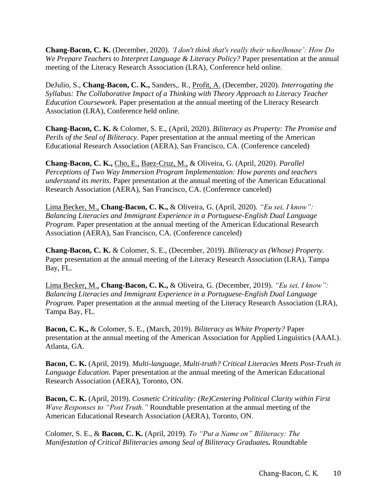**Chang-Bacon, C. K.** (December, 2020). *'I don't think that's really their wheelhouse': How Do We Prepare Teachers to Interpret Language & Literacy Policy?* Paper presentation at the annual meeting of the Literacy Research Association (LRA), Conference held online.

DeJulio, S., **Chang-Bacon, C. K.,** Sanders,. R., Profit, A. (December, 2020). *Interrogating the Syllabus: The Collaborative Impact of a Thinking with Theory Approach to Literacy Teacher Education Coursework.* Paper presentation at the annual meeting of the Literacy Research Association (LRA), Conference held online.

**Chang-Bacon, C. K.** & Colomer, S. E., (April, 2020). *Biliteracy as Property: The Promise and Perils of the Seal of Biliteracy.* Paper presentation at the annual meeting of the American Educational Research Association (AERA), San Francisco, CA. (Conference canceled)

**Chang-Bacon, C. K.,** Cho, E., Baez-Cruz, M., & Oliveira, G. (April, 2020). *Parallel Perceptions of Two Way Immersion Program Implementation: How parents and teachers understand its merits.* Paper presentation at the annual meeting of the American Educational Research Association (AERA), San Francisco, CA. (Conference canceled)

Lima Becker, M., **Chang-Bacon, C. K.,** & Oliveira, G. (April, 2020). *"Eu sei, I know": Balancing Literacies and Immigrant Experience in a Portuguese-English Dual Language Program.* Paper presentation at the annual meeting of the American Educational Research Association (AERA), San Francisco, CA. (Conference canceled)

**Chang-Bacon, C. K.** & Colomer, S. E., (December, 2019). *Biliteracy as (Whose) Property.*  Paper presentation at the annual meeting of the Literacy Research Association (LRA), Tampa Bay, FL.

Lima Becker, M., **Chang-Bacon, C. K.,** & Oliveira, G. (December, 2019). *"Eu sei, I know": Balancing Literacies and Immigrant Experience in a Portuguese-English Dual Language Program.* Paper presentation at the annual meeting of the Literacy Research Association (LRA), Tampa Bay, FL.

**Bacon, C. K.,** & Colomer, S. E., (March, 2019). *Biliteracy as White Property?* Paper presentation at the annual meeting of the American Association for Applied Linguistics (AAAL). Atlanta, GA.

**Bacon, C. K.** (April, 2019). *Multi-language, Multi-truth? Critical Literacies Meets Post-Truth in Language Education.* Paper presentation at the annual meeting of the American Educational Research Association (AERA), Toronto, ON.

**Bacon, C. K.** (April, 2019). *Cosmetic Criticality: (Re)Centering Political Clarity within First Wave Responses to "Post Truth."* Roundtable presentation at the annual meeting of the American Educational Research Association (AERA), Toronto, ON.

Colomer, S. E., & **Bacon, C. K.** (April, 2019). *To "Put a Name on" Biliteracy: The Manifestation of Critical Biliteracies among Seal of Biliteracy Graduates.* Roundtable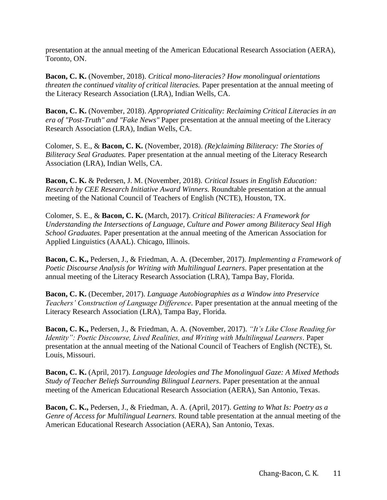presentation at the annual meeting of the American Educational Research Association (AERA), Toronto, ON.

**Bacon, C. K.** (November, 2018). *Critical mono-literacies? How monolingual orientations threaten the continued vitality of critical literacies.* Paper presentation at the annual meeting of the Literacy Research Association (LRA), Indian Wells, CA.

**Bacon, C. K.** (November, 2018). *Appropriated Criticality: Reclaiming Critical Literacies in an era of "Post-Truth" and "Fake News"* Paper presentation at the annual meeting of the Literacy Research Association (LRA), Indian Wells, CA.

Colomer, S. E., & **Bacon, C. K.** (November, 2018). *(Re)claiming Biliteracy: The Stories of Biliteracy Seal Graduates.* Paper presentation at the annual meeting of the Literacy Research Association (LRA), Indian Wells, CA.

**Bacon, C. K.** & Pedersen, J. M. (November, 2018). *Critical Issues in English Education: Research by CEE Research Initiative Award Winners.* Roundtable presentation at the annual meeting of the National Council of Teachers of English (NCTE), Houston, TX.

Colomer, S. E., & **Bacon, C. K.** (March, 2017). *Critical Biliteracies: A Framework for Understanding the Intersections of Language, Culture and Power among Biliteracy Seal High School Graduates.* Paper presentation at the annual meeting of the American Association for Applied Linguistics (AAAL). Chicago, Illinois.

**Bacon, C. K.,** Pedersen, J., & Friedman, A. A. (December, 2017). *Implementing a Framework of Poetic Discourse Analysis for Writing with Multilingual Learners.* Paper presentation at the annual meeting of the Literacy Research Association (LRA), Tampa Bay, Florida.

**Bacon, C. K.** (December, 2017). *Language Autobiographies as a Window into Preservice Teachers' Construction of Language Difference.* Paper presentation at the annual meeting of the Literacy Research Association (LRA), Tampa Bay, Florida.

**Bacon, C. K.,** Pedersen, J., & Friedman, A. A. (November, 2017). *"It's Like Close Reading for Identity": Poetic Discourse, Lived Realities, and Writing with Multilingual Learners. Paper* presentation at the annual meeting of the National Council of Teachers of English (NCTE), St. Louis, Missouri.

**Bacon, C. K.** (April, 2017). *Language Ideologies and The Monolingual Gaze: A Mixed Methods Study of Teacher Beliefs Surrounding Bilingual Learners.* Paper presentation at the annual meeting of the American Educational Research Association (AERA), San Antonio, Texas.

**Bacon, C. K.,** Pedersen, J., & Friedman, A. A. (April, 2017). *Getting to What Is: Poetry as a Genre of Access for Multilingual Learners.* Round table presentation at the annual meeting of the American Educational Research Association (AERA), San Antonio, Texas.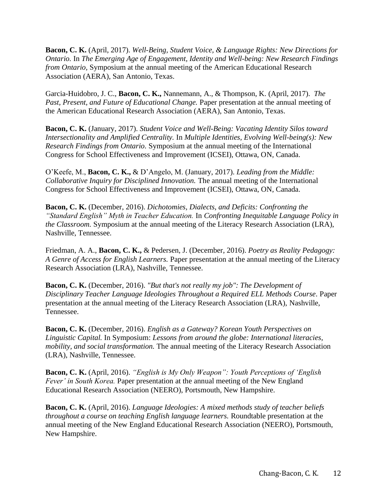**Bacon, C. K.** (April, 2017). *Well-Being, Student Voice, & Language Rights: New Directions for Ontario.* In *The Emerging Age of Engagement, Identity and Well-being: New Research Findings from Ontario,* Symposium at the annual meeting of the American Educational Research Association (AERA), San Antonio, Texas.

Garcia-Huidobro, J. C., **Bacon, C. K.,** Nannemann, A., & Thompson, K. (April, 2017). *The Past, Present, and Future of Educational Change.* Paper presentation at the annual meeting of the American Educational Research Association (AERA), San Antonio, Texas.

**Bacon, C. K.** (January, 2017). *Student Voice and Well-Being: Vacating Identity Silos toward Intersectionality and Amplified Centrality.* In *Multiple Identities, Evolving Well-being(s): New Research Findings from Ontario.* Symposium at the annual meeting of the International Congress for School Effectiveness and Improvement (ICSEI), Ottawa, ON, Canada.

O'Keefe, M., **Bacon, C. K.,** & D'Angelo, M. (January, 2017). *Leading from the Middle: Collaborative Inquiry for Disciplined Innovation.* The annual meeting of the International Congress for School Effectiveness and Improvement (ICSEI), Ottawa, ON, Canada.

**Bacon, C. K.** (December, 2016). *Dichotomies, Dialects, and Deficits: Confronting the "Standard English" Myth in Teacher Education.* In *Confronting Inequitable Language Policy in the Classroom.* Symposium at the annual meeting of the Literacy Research Association (LRA), Nashville, Tennessee.

Friedman, A. A., **Bacon, C. K.,** & Pedersen, J. (December, 2016). *Poetry as Reality Pedagogy: A Genre of Access for English Learners.* Paper presentation at the annual meeting of the Literacy Research Association (LRA), Nashville, Tennessee.

**Bacon, C. K.** (December, 2016). *"But that's not really my job": The Development of Disciplinary Teacher Language Ideologies Throughout a Required ELL Methods Course.* Paper presentation at the annual meeting of the Literacy Research Association (LRA), Nashville, Tennessee.

**Bacon, C. K.** (December, 2016). *English as a Gateway? Korean Youth Perspectives on Linguistic Capital.* In Symposium: *Lessons from around the globe: International literacies, mobility, and social transformation.* The annual meeting of the Literacy Research Association (LRA), Nashville, Tennessee.

**Bacon, C. K.** (April, 2016). *"English is My Only Weapon": Youth Perceptions of 'English Fever' in South Korea.* Paper presentation at the annual meeting of the New England Educational Research Association (NEERO), Portsmouth, New Hampshire.

**Bacon, C. K.** (April, 2016). *Language Ideologies: A mixed methods study of teacher beliefs throughout a course on teaching English language learners.* Roundtable presentation at the annual meeting of the New England Educational Research Association (NEERO), Portsmouth, New Hampshire.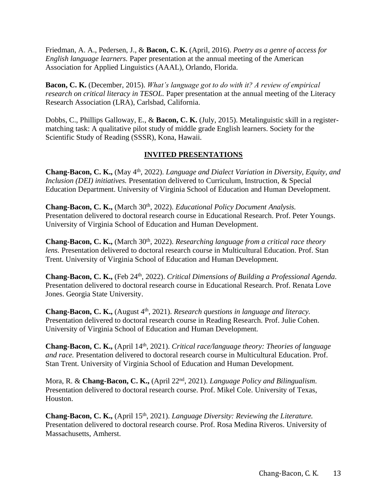Friedman, A. A., Pedersen, J., & **Bacon, C. K.** (April, 2016). *Poetry as a genre of access for English language learners.* Paper presentation at the annual meeting of the American Association for Applied Linguistics (AAAL), Orlando, Florida.

**Bacon, C. K.** (December, 2015). *What's language got to do with it? A review of empirical research on critical literacy in TESOL.* Paper presentation at the annual meeting of the Literacy Research Association (LRA), Carlsbad, California.

Dobbs, C., Phillips Galloway, E., & **Bacon, C. K.** (July, 2015). Metalinguistic skill in a registermatching task: A qualitative pilot study of middle grade English learners. Society for the Scientific Study of Reading (SSSR), Kona, Hawaii.

# **INVITED PRESENTATIONS**

**Chang-Bacon, C. K.,** (May 4th, 2022). *Language and Dialect Variation in Diversity, Equity, and Inclusion (DEI) initiatives.* Presentation delivered to Curriculum, Instruction, & Special Education Department. University of Virginia School of Education and Human Development.

**Chang-Bacon, C. K.,** (March 30<sup>th</sup>, 2022). *Educational Policy Document Analysis.* Presentation delivered to doctoral research course in Educational Research. Prof. Peter Youngs. University of Virginia School of Education and Human Development.

**Chang-Bacon, C. K.,** (March 30<sup>th</sup>, 2022). *Researching language from a critical race theory lens.* Presentation delivered to doctoral research course in Multicultural Education. Prof. Stan Trent. University of Virginia School of Education and Human Development.

**Chang-Bacon, C. K.,** (Feb 24th, 2022). *Critical Dimensions of Building a Professional Agenda.* Presentation delivered to doctoral research course in Educational Research. Prof. Renata Love Jones. Georgia State University.

**Chang-Bacon, C. K.,** (August 4<sup>th</sup>, 2021). *Research questions in language and literacy*. Presentation delivered to doctoral research course in Reading Research. Prof. Julie Cohen. University of Virginia School of Education and Human Development.

**Chang-Bacon, C. K.,** (April 14th, 2021). *Critical race/language theory: Theories of language and race.* Presentation delivered to doctoral research course in Multicultural Education. Prof. Stan Trent. University of Virginia School of Education and Human Development.

Mora, R. & **Chang-Bacon, C. K.,** (April 22nd, 2021). *Language Policy and Bilingualism.*  Presentation delivered to doctoral research course. Prof. Mikel Cole. University of Texas, Houston.

**Chang-Bacon, C. K.,** (April 15<sup>th</sup>, 2021). *Language Diversity: Reviewing the Literature.* Presentation delivered to doctoral research course. Prof. Rosa Medina Riveros. University of Massachusetts, Amherst.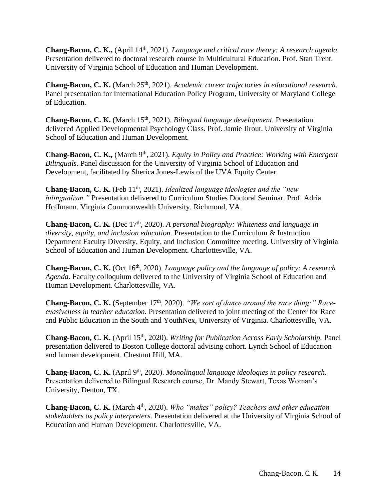Chang-Bacon, C. K., (April 14<sup>th</sup>, 2021). *Language and critical race theory: A research agenda.* Presentation delivered to doctoral research course in Multicultural Education. Prof. Stan Trent. University of Virginia School of Education and Human Development.

Chang-Bacon, C. K. (March 25<sup>th</sup>, 2021). *Academic career trajectories in educational research*. Panel presentation for International Education Policy Program, University of Maryland College of Education.

**Chang-Bacon, C. K.** (March 15th, 2021). *Bilingual language development.* Presentation delivered Applied Developmental Psychology Class. Prof. Jamie Jirout. University of Virginia School of Education and Human Development.

**Chang-Bacon, C. K.,** (March 9<sup>th</sup>, 2021). *Equity in Policy and Practice: Working with Emergent Bilinguals.* Panel discussion for the University of Virginia School of Education and Development, facilitated by Sherica Jones-Lewis of the UVA Equity Center.

**Chang-Bacon, C. K.** (Feb 11<sup>th</sup>, 2021). *Idealized language ideologies and the "new bilingualism."* Presentation delivered to Curriculum Studies Doctoral Seminar. Prof. Adria Hoffmann. Virginia Commonwealth University. Richmond, VA.

**Chang-Bacon, C. K.** (Dec 17th, 2020). *A personal biography: Whiteness and language in diversity, equity, and inclusion education.* Presentation to the Curriculum & Instruction Department Faculty Diversity, Equity, and Inclusion Committee meeting. University of Virginia School of Education and Human Development. Charlottesville, VA.

**Chang-Bacon, C. K.** (Oct 16th, 2020). *Language policy and the language of policy: A research Agenda.* Faculty colloquium delivered to the University of Virginia School of Education and Human Development. Charlottesville, VA.

**Chang-Bacon, C. K.** (September 17<sup>th</sup>, 2020). "We sort of dance around the race thing:" Race*evasiveness in teacher education.* Presentation delivered to joint meeting of the Center for Race and Public Education in the South and YouthNex, University of Virginia. Charlottesville, VA.

**Chang-Bacon, C. K.** (April 15th, 2020). *Writing for Publication Across Early Scholarship.* Panel presentation delivered to Boston College doctoral advising cohort. Lynch School of Education and human development. Chestnut Hill, MA.

**Chang-Bacon, C. K.** (April 9<sup>th</sup>, 2020). *Monolingual language ideologies in policy research.* Presentation delivered to Bilingual Research course, Dr. Mandy Stewart, Texas Woman's University, Denton, TX.

Chang-Bacon, C. K. (March 4<sup>th</sup>, 2020). *Who "makes" policy? Teachers and other education stakeholders as policy interpreters*. Presentation delivered at the University of Virginia School of Education and Human Development. Charlottesville, VA.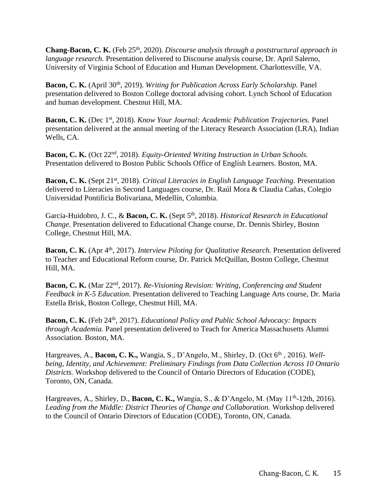**Chang-Bacon, C. K.** (Feb 25th, 2020). *Discourse analysis through a poststructural approach in language research.* Presentation delivered to Discourse analysis course, Dr. April Salerno, University of Virginia School of Education and Human Development. Charlottesville, VA.

Bacon, C. K. (April 30<sup>th</sup>, 2019). *Writing for Publication Across Early Scholarship*. Panel presentation delivered to Boston College doctoral advising cohort. Lynch School of Education and human development. Chestnut Hill, MA.

**Bacon, C. K.** (Dec 1st, 2018). *Know Your Journal: Academic Publication Trajectories.* Panel presentation delivered at the annual meeting of the Literacy Research Association (LRA), Indian Wells, CA.

**Bacon, C. K.** (Oct 22nd, 2018). *Equity-Oriented Writing Instruction in Urban Schools.*  Presentation delivered to Boston Public Schools Office of English Learners. Boston, MA.

**Bacon, C. K.** (Sept 21st, 2018). *Critical Literacies in English Language Teaching.* Presentation delivered to Literacies in Second Languages course, Dr. Raúl Mora & Claudia Cañas, Colegio Universidad Pontificia Bolivariana, Medellín, Columbia.

Garcia-Huidobro, J. C., & Bacon, C. K. (Sept 5<sup>th</sup>, 2018). *Historical Research in Educational Change.* Presentation delivered to Educational Change course, Dr. Dennis Shirley, Boston College, Chestnut Hill, MA.

**Bacon, C. K.** (Apr 4<sup>th</sup>, 2017). *Interview Piloting for Qualitative Research.* Presentation delivered to Teacher and Educational Reform course, Dr. Patrick McQuillan, Boston College, Chestnut Hill, MA.

**Bacon, C. K.** (Mar 22nd, 2017). *Re-Visioning Revision: Writing, Conferencing and Student Feedback in K-5 Education.* Presentation delivered to Teaching Language Arts course, Dr. Maria Estella Brisk, Boston College, Chestnut Hill, MA.

Bacon, C. K. (Feb 24<sup>th</sup>, 2017). *Educational Policy and Public School Advocacy: Impacts through Academia.* Panel presentation delivered to Teach for America Massachusetts Alumni Association. Boston, MA.

Hargreaves, A., **Bacon, C. K.,** Wangia, S., D'Angelo, M., Shirley, D. (Oct 6th , 2016). *Wellbeing, Identity, and Achievement: Preliminary Findings from Data Collection Across 10 Ontario Districts.* Workshop delivered to the Council of Ontario Directors of Education (CODE), Toronto, ON, Canada.

Hargreaves, A., Shirley, D., **Bacon, C. K.,** Wangia, S., & D'Angelo, M. (May 11<sup>th</sup>-12th, 2016). *Leading from the Middle: District Theories of Change and Collaboration.* Workshop delivered to the Council of Ontario Directors of Education (CODE), Toronto, ON, Canada.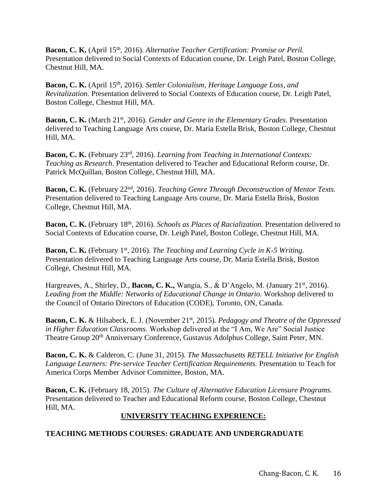Bacon, C. K. (April 15<sup>th</sup>, 2016). *Alternative Teacher Certification: Promise or Peril.* Presentation delivered to Social Contexts of Education course, Dr. Leigh Patel, Boston College, Chestnut Hill, MA.

**Bacon, C. K.** (April 15th, 2016). *Settler Colonialism, Heritage Language Loss, and Revitalization.* Presentation delivered to Social Contexts of Education course, Dr. Leigh Patel, Boston College, Chestnut Hill, MA.

**Bacon, C. K.** (March 21<sup>st</sup>, 2016). *Gender and Genre in the Elementary Grades*. Presentation delivered to Teaching Language Arts course, Dr. Maria Estella Brisk, Boston College, Chestnut Hill, MA.

**Bacon, C. K.** (February 23rd, 2016). *Learning from Teaching in International Contexts: Teaching as Research.* Presentation delivered to Teacher and Educational Reform course, Dr. Patrick McQuillan, Boston College, Chestnut Hill, MA.

**Bacon, C. K.** (February 22nd, 2016). *Teaching Genre Through Deconstruction of Mentor Texts.*  Presentation delivered to Teaching Language Arts course, Dr. Maria Estella Brisk, Boston College, Chestnut Hill, MA.

**Bacon, C. K.** (February 18th, 2016). *Schools as Places of Racialization.* Presentation delivered to Social Contexts of Education course, Dr. Leigh Patel, Boston College, Chestnut Hill, MA.

**Bacon, C. K.** (February 1st, 2016). *The Teaching and Learning Cycle in K-5 Writing.*  Presentation delivered to Teaching Language Arts course, Dr. Maria Estella Brisk, Boston College, Chestnut Hill, MA.

Hargreaves, A., Shirley, D., **Bacon, C. K.,** Wangia, S., & D'Angelo, M. (January 21<sup>st</sup>, 2016). Leading from the Middle: Networks of Educational Change in Ontario. Workshop delivered to the Council of Ontario Directors of Education (CODE), Toronto, ON, Canada.

**Bacon, C. K.** & Hilsabeck, E. J. (November 21st, 2015). *Pedagogy and Theatre of the Oppressed in Higher Education Classrooms.* Workshop delivered at the "I Am, We Are" Social Justice Theatre Group 20th Anniversary Conference, Gustavus Adolphus College, Saint Peter, MN.

**Bacon, C. K.** & Calderon, C. (June 31, 2015). *The Massachusetts RETELL Initiative for English Language Learners: Pre-service Teacher Certification Requirements.* Presentation to Teach for America Corps Member Advisor Committee, Boston, MA.

**Bacon, C. K.** (February 18, 2015). *The Culture of Alternative Education Licensure Programs.*  Presentation delivered to Teacher and Educational Reform course, Boston College, Chestnut Hill, MA.

# **UNIVERSITY TEACHING EXPERIENCE:**

## **TEACHING METHODS COURSES: GRADUATE AND UNDERGRADUATE**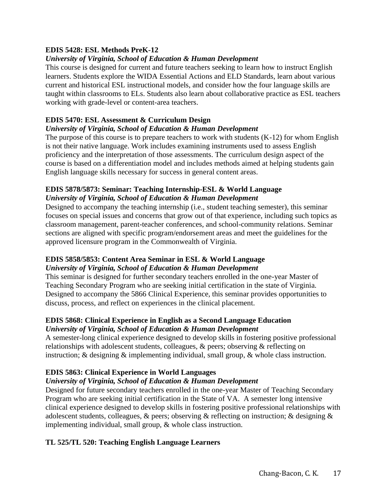## **EDIS 5428: ESL Methods PreK-12**

#### *University of Virginia, School of Education & Human Development*

This course is designed for current and future teachers seeking to learn how to instruct English learners. Students explore the WIDA Essential Actions and ELD Standards, learn about various current and historical ESL instructional models, and consider how the four language skills are taught within classrooms to ELs. Students also learn about collaborative practice as ESL teachers working with grade-level or content-area teachers.

#### **EDIS 5470: ESL Assessment & Curriculum Design**

#### *University of Virginia, School of Education & Human Development*

The purpose of this course is to prepare teachers to work with students  $(K-12)$  for whom English is not their native language. Work includes examining instruments used to assess English proficiency and the interpretation of those assessments. The curriculum design aspect of the course is based on a differentiation model and includes methods aimed at helping students gain English language skills necessary for success in general content areas.

#### **EDIS 5878/5873: Seminar: Teaching Internship-ESL & World Language** *University of Virginia, School of Education & Human Development*

Designed to accompany the teaching internship (i.e., student teaching semester), this seminar focuses on special issues and concerns that grow out of that experience, including such topics as classroom management, parent-teacher conferences, and school-community relations. Seminar sections are aligned with specific program/endorsement areas and meet the guidelines for the approved licensure program in the Commonwealth of Virginia.

#### **EDIS 5858/5853: Content Area Seminar in ESL & World Language** *University of Virginia, School of Education & Human Development*

This seminar is designed for further secondary teachers enrolled in the one-year Master of Teaching Secondary Program who are seeking initial certification in the state of Virginia. Designed to accompany the 5866 Clinical Experience, this seminar provides opportunities to discuss, process, and reflect on experiences in the clinical placement.

#### **EDIS 5868: Clinical Experience in English as a Second Language Education** *University of Virginia, School of Education & Human Development*

A semester-long clinical experience designed to develop skills in fostering positive professional relationships with adolescent students, colleagues, & peers; observing & reflecting on instruction; & designing & implementing individual, small group, & whole class instruction.

## **EDIS 5863: Clinical Experience in World Languages**

## *University of Virginia, School of Education & Human Development*

Designed for future secondary teachers enrolled in the one-year Master of Teaching Secondary Program who are seeking initial certification in the State of VA. A semester long intensive clinical experience designed to develop skills in fostering positive professional relationships with adolescent students, colleagues, & peers; observing & reflecting on instruction; & designing & implementing individual, small group, & whole class instruction.

## **TL 525/TL 520: Teaching English Language Learners**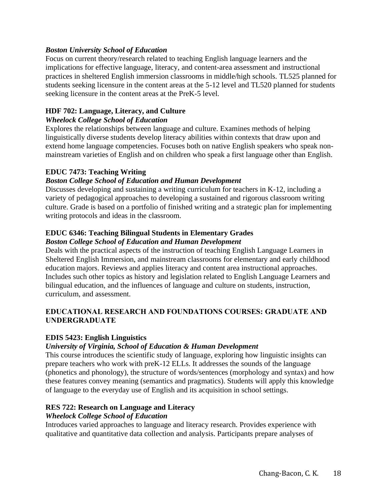#### *Boston University School of Education*

Focus on current theory/research related to teaching English language learners and the implications for effective language, literacy, and content-area assessment and instructional practices in sheltered English immersion classrooms in middle/high schools. TL525 planned for students seeking licensure in the content areas at the 5-12 level and TL520 planned for students seeking licensure in the content areas at the PreK-5 level.

## **HDF 702: Language, Literacy, and Culture**

#### *Wheelock College School of Education*

Explores the relationships between language and culture. Examines methods of helping linguistically diverse students develop literacy abilities within contexts that draw upon and extend home language competencies. Focuses both on native English speakers who speak nonmainstream varieties of English and on children who speak a first language other than English.

## **EDUC 7473: Teaching Writing**

## *Boston College School of Education and Human Development*

Discusses developing and sustaining a writing curriculum for teachers in K-12, including a variety of pedagogical approaches to developing a sustained and rigorous classroom writing culture. Grade is based on a portfolio of finished writing and a strategic plan for implementing writing protocols and ideas in the classroom.

# **EDUC 6346: Teaching Bilingual Students in Elementary Grades**

#### *Boston College School of Education and Human Development*

Deals with the practical aspects of the instruction of teaching English Language Learners in Sheltered English Immersion, and mainstream classrooms for elementary and early childhood education majors. Reviews and applies literacy and content area instructional approaches. Includes such other topics as history and legislation related to English Language Learners and bilingual education, and the influences of language and culture on students, instruction, curriculum, and assessment.

# **EDUCATIONAL RESEARCH AND FOUNDATIONS COURSES: GRADUATE AND UNDERGRADUATE**

#### **EDIS 5423: English Linguistics**

## *University of Virginia, School of Education & Human Development*

This course introduces the scientific study of language, exploring how linguistic insights can prepare teachers who work with preK-12 ELLs. It addresses the sounds of the language (phonetics and phonology), the structure of words/sentences (morphology and syntax) and how these features convey meaning (semantics and pragmatics). Students will apply this knowledge of language to the everyday use of English and its acquisition in school settings.

#### **RES 722: Research on Language and Literacy**

#### *Wheelock College School of Education*

Introduces varied approaches to language and literacy research. Provides experience with qualitative and quantitative data collection and analysis. Participants prepare analyses of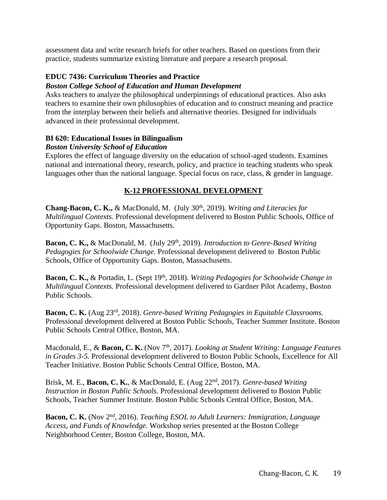assessment data and write research briefs for other teachers. Based on questions from their practice, students summarize existing literature and prepare a research proposal.

# **EDUC 7436: Curriculum Theories and Practice**

## *Boston College School of Education and Human Development*

Asks teachers to analyze the philosophical underpinnings of educational practices. Also asks teachers to examine their own philosophies of education and to construct meaning and practice from the interplay between their beliefs and alternative theories. Designed for individuals advanced in their professional development.

## **BI 620: Educational Issues in Bilingualism**

## *Boston University School of Education*

Explores the effect of language diversity on the education of school-aged students. Examines national and international theory, research, policy, and practice in teaching students who speak languages other than the national language. Special focus on race, class, & gender in language.

# **K-12 PROFESSIONAL DEVELOPMENT**

Chang-Bacon, C. K., & MacDonald, M. (July 30<sup>th</sup>, 2019). *Writing and Literacies for Multilingual Contexts.* Professional development delivered to Boston Public Schools, Office of Opportunity Gaps. Boston, Massachusetts.

Bacon, C. K., & MacDonald, M. (July 29<sup>th</sup>, 2019). *Introduction to Genre-Based Writing Pedagogies for Schoolwide Change.* Professional development delivered to Boston Public Schools, Office of Opportunity Gaps. Boston, Massachusetts.

**Bacon, C. K., & Portadin, L.** (Sept 19<sup>th</sup>, 2018). *Writing Pedagogies for Schoolwide Change in Multilingual Contexts.* Professional development delivered to Gardner Pilot Academy, Boston Public Schools.

**Bacon, C. K.** (Aug 23rd, 2018). *Genre-based Writing Pedagogies in Equitable Classrooms.*  Professional development delivered at Boston Public Schools, Teacher Summer Institute. Boston Public Schools Central Office, Boston, MA.

Macdonald, E., & **Bacon, C. K.** (Nov 7<sup>th</sup>, 2017). *Looking at Student Writing: Language Features in Grades 3-5.* Professional development delivered to Boston Public Schools, Excellence for All Teacher Initiative. Boston Public Schools Central Office, Boston, MA.

Brisk, M. E., **Bacon, C. K.**, & MacDonald, E. (Aug 22nd, 2017). *Genre-based Writing Instruction in Boston Public Schools.* Professional development delivered to Boston Public Schools, Teacher Summer Institute. Boston Public Schools Central Office, Boston, MA.

**Bacon, C. K.** (Nov 2nd, 2016). *Teaching ESOL to Adult Learners: Immigration, Language Access, and Funds of Knowledge.* Workshop series presented at the Boston College Neighborhood Center, Boston College, Boston, MA.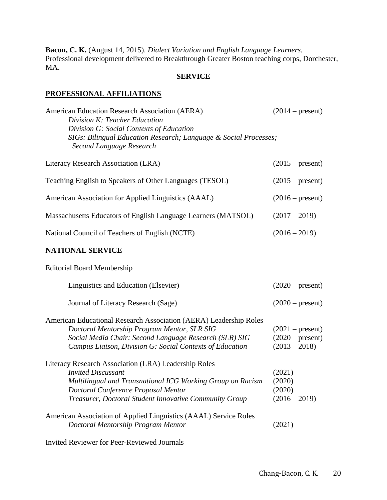**Bacon, C. K.** (August 14, 2015). *Dialect Variation and English Language Learners.*  Professional development delivered to Breakthrough Greater Boston teaching corps, Dorchester, MA.

## **SERVICE**

#### **PROFESSIONAL AFFILIATIONS**

| American Education Research Association (AERA)<br>Division K: Teacher Education<br>Division G: Social Contexts of Education<br>SIGs: Bilingual Education Research; Language & Social Processes;<br>Second Language Research                      | $(2014 - present)$                                          |
|--------------------------------------------------------------------------------------------------------------------------------------------------------------------------------------------------------------------------------------------------|-------------------------------------------------------------|
| Literacy Research Association (LRA)                                                                                                                                                                                                              | $(2015 - present)$                                          |
| Teaching English to Speakers of Other Languages (TESOL)                                                                                                                                                                                          | $(2015 - present)$                                          |
| American Association for Applied Linguistics (AAAL)                                                                                                                                                                                              | $(2016 - present)$                                          |
| Massachusetts Educators of English Language Learners (MATSOL)                                                                                                                                                                                    | $(2017 - 2019)$                                             |
| National Council of Teachers of English (NCTE)                                                                                                                                                                                                   | $(2016 - 2019)$                                             |
| <b>NATIONAL SERVICE</b>                                                                                                                                                                                                                          |                                                             |
| <b>Editorial Board Membership</b>                                                                                                                                                                                                                |                                                             |
| Linguistics and Education (Elsevier)                                                                                                                                                                                                             | $(2020 - present)$                                          |
| Journal of Literacy Research (Sage)                                                                                                                                                                                                              | $(2020 - present)$                                          |
| American Educational Research Association (AERA) Leadership Roles<br>Doctoral Mentorship Program Mentor, SLR SIG<br>Social Media Chair: Second Language Research (SLR) SIG<br>Campus Liaison, Division G: Social Contexts of Education           | $(2021 - present)$<br>$(2020 - present)$<br>$(2013 - 2018)$ |
| Literacy Research Association (LRA) Leadership Roles<br><b>Invited Discussant</b><br>Multilingual and Transnational ICG Working Group on Racism<br>Doctoral Conference Proposal Mentor<br>Treasurer, Doctoral Student Innovative Community Group | (2021)<br>(2020)<br>(2020)<br>$(2016 - 2019)$               |
| American Association of Applied Linguistics (AAAL) Service Roles<br>Doctoral Mentorship Program Mentor                                                                                                                                           | (2021)                                                      |

Invited Reviewer for Peer-Reviewed Journals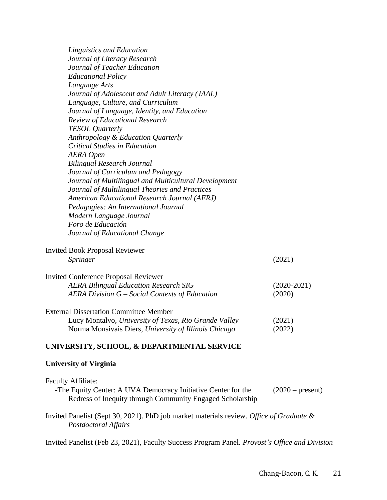| Linguistics and Education<br>Journal of Literacy Research |               |
|-----------------------------------------------------------|---------------|
| Journal of Teacher Education                              |               |
| <b>Educational Policy</b>                                 |               |
| Language Arts                                             |               |
| Journal of Adolescent and Adult Literacy (JAAL)           |               |
| Language, Culture, and Curriculum                         |               |
| Journal of Language, Identity, and Education              |               |
| <b>Review of Educational Research</b>                     |               |
| <b>TESOL</b> Quarterly                                    |               |
| Anthropology & Education Quarterly                        |               |
| <b>Critical Studies in Education</b>                      |               |
| <b>AERA</b> Open                                          |               |
| <b>Bilingual Research Journal</b>                         |               |
| Journal of Curriculum and Pedagogy                        |               |
| Journal of Multilingual and Multicultural Development     |               |
| Journal of Multilingual Theories and Practices            |               |
| American Educational Research Journal (AERJ)              |               |
| Pedagogies: An International Journal                      |               |
| Modern Language Journal                                   |               |
| Foro de Educación                                         |               |
| Journal of Educational Change                             |               |
| <b>Invited Book Proposal Reviewer</b>                     |               |
| Springer                                                  | (2021)        |
| <b>Invited Conference Proposal Reviewer</b>               |               |
| <b>AERA Bilingual Education Research SIG</b>              | $(2020-2021)$ |
| AERA Division G – Social Contexts of Education            | (2020)        |
| <b>External Dissertation Committee Member</b>             |               |
| Lucy Montalvo, University of Texas, Rio Grande Valley     | (2021)        |
| Norma Monsivais Diers, University of Illinois Chicago     | (2022)        |
|                                                           |               |

# **UNIVERSITY, SCHOOL, & DEPARTMENTAL SERVICE**

#### **University of Virginia**

| <b>Faculty Affiliate:</b><br>-The Equity Center: A UVA Democracy Initiative Center for the<br>Redress of Inequity through Community Engaged Scholarship | $(2020 - present)$ |
|---------------------------------------------------------------------------------------------------------------------------------------------------------|--------------------|
| Invited Panelist (Sept 30, 2021). PhD job market materials review. Office of Graduate &<br>Postdoctoral Affairs                                         |                    |

Invited Panelist (Feb 23, 2021), Faculty Success Program Panel. *Provost's Office and Division*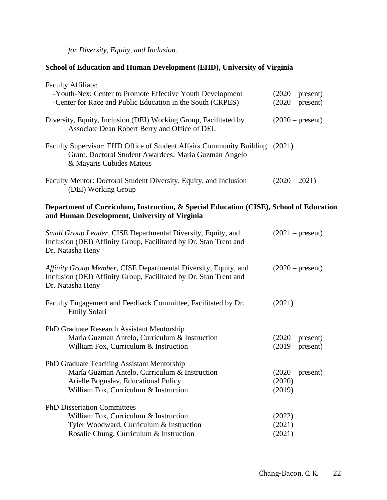*for Diversity, Equity, and Inclusion.* 

# **School of Education and Human Development (EHD), University of Virginia**

| <b>Faculty Affiliate:</b>                                                                                                                                                    |                                          |
|------------------------------------------------------------------------------------------------------------------------------------------------------------------------------|------------------------------------------|
| -Youth-Nex: Center to Promote Effective Youth Development<br>-Center for Race and Public Education in the South (CRPES)                                                      | $(2020 - present)$<br>$(2020 - present)$ |
| Diversity, Equity, Inclusion (DEI) Working Group, Facilitated by<br>Associate Dean Robert Berry and Office of DEI.                                                           | $(2020 - present)$                       |
| Faculty Supervisor: EHD Office of Student Affairs Community Building (2021)<br>Grant. Doctoral Student Awardees: María Guzmán Angelo<br>& Mayaris Cubides Mateus             |                                          |
| Faculty Mentor: Doctoral Student Diversity, Equity, and Inclusion<br>(DEI) Working Group                                                                                     | $(2020 - 2021)$                          |
| Department of Curriculum, Instruction, & Special Education (CISE), School of Education<br>and Human Development, University of Virginia                                      |                                          |
| Small Group Leader, CISE Departmental Diversity, Equity, and<br>Inclusion (DEI) Affinity Group, Facilitated by Dr. Stan Trent and<br>Dr. Natasha Heny                        | $(2021 - present)$                       |
| Affinity Group Member, CISE Departmental Diversity, Equity, and<br>Inclusion (DEI) Affinity Group, Facilitated by Dr. Stan Trent and<br>Dr. Natasha Heny                     | $(2020 - present)$                       |
| Faculty Engagement and Feedback Committee, Facilitated by Dr.<br><b>Emily Solari</b>                                                                                         | (2021)                                   |
| PhD Graduate Research Assistant Mentorship<br>María Guzman Antelo, Curriculum & Instruction<br>William Fox, Curriculum & Instruction                                         | $(2020 - present)$<br>$(2019 - present)$ |
| PhD Graduate Teaching Assistant Mentorship<br>María Guzman Antelo, Curriculum & Instruction<br>Arielle Boguslav, Educational Policy<br>William Fox, Curriculum & Instruction | $(2020 - present)$<br>(2020)<br>(2019)   |
| <b>PhD Dissertation Committees</b><br>William Fox, Curriculum & Instruction<br>Tyler Woodward, Curriculum & Instruction<br>Rosalie Chung, Curriculum & Instruction           | (2022)<br>(2021)<br>(2021)               |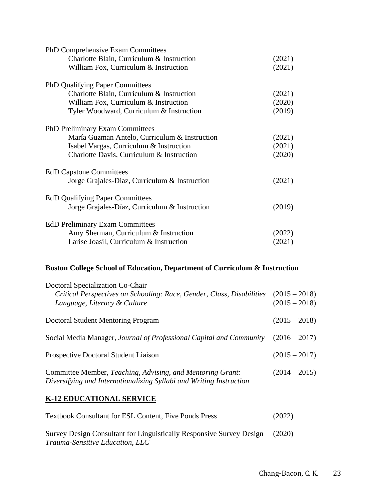| PhD Comprehensive Exam Committees             |        |
|-----------------------------------------------|--------|
| Charlotte Blain, Curriculum & Instruction     | (2021) |
| William Fox, Curriculum & Instruction         | (2021) |
| <b>PhD Qualifying Paper Committees</b>        |        |
| Charlotte Blain, Curriculum & Instruction     | (2021) |
| William Fox, Curriculum & Instruction         | (2020) |
| Tyler Woodward, Curriculum & Instruction      | (2019) |
| <b>PhD Preliminary Exam Committees</b>        |        |
| María Guzman Antelo, Curriculum & Instruction | (2021) |
| Isabel Vargas, Curriculum & Instruction       | (2021) |
| Charlotte Davis, Curriculum & Instruction     | (2020) |
| <b>EdD Capstone Committees</b>                |        |
| Jorge Grajales-Díaz, Curriculum & Instruction | (2021) |
| <b>EdD Qualifying Paper Committees</b>        |        |
| Jorge Grajales-Díaz, Curriculum & Instruction | (2019) |
| <b>EdD Preliminary Exam Committees</b>        |        |
| Amy Sherman, Curriculum & Instruction         | (2022) |
| Larise Joasil, Curriculum & Instruction       | (2021) |

# **Boston College School of Education, Department of Curriculum & Instruction**

| Doctoral Specialization Co-Chair<br>Critical Perspectives on Schooling: Race, Gender, Class, Disabilities<br>Language, Literacy & Culture | $(2015 - 2018)$<br>$(2015 - 2018)$ |
|-------------------------------------------------------------------------------------------------------------------------------------------|------------------------------------|
| Doctoral Student Mentoring Program                                                                                                        | $(2015 - 2018)$                    |
| Social Media Manager, Journal of Professional Capital and Community                                                                       | $(2016 - 2017)$                    |
| <b>Prospective Doctoral Student Liaison</b>                                                                                               | $(2015 - 2017)$                    |
| Committee Member, Teaching, Advising, and Mentoring Grant:<br>Diversifying and Internationalizing Syllabi and Writing Instruction         | $(2014 - 2015)$                    |

# **K-12 EDUCATIONAL SERVICE**

| <b>Textbook Consultant for ESL Content, Five Ponds Press</b>         | (2022) |
|----------------------------------------------------------------------|--------|
| Survey Design Consultant for Linguistically Responsive Survey Design | (2020) |
| <i>Trauma-Sensitive Education, LLC</i>                               |        |